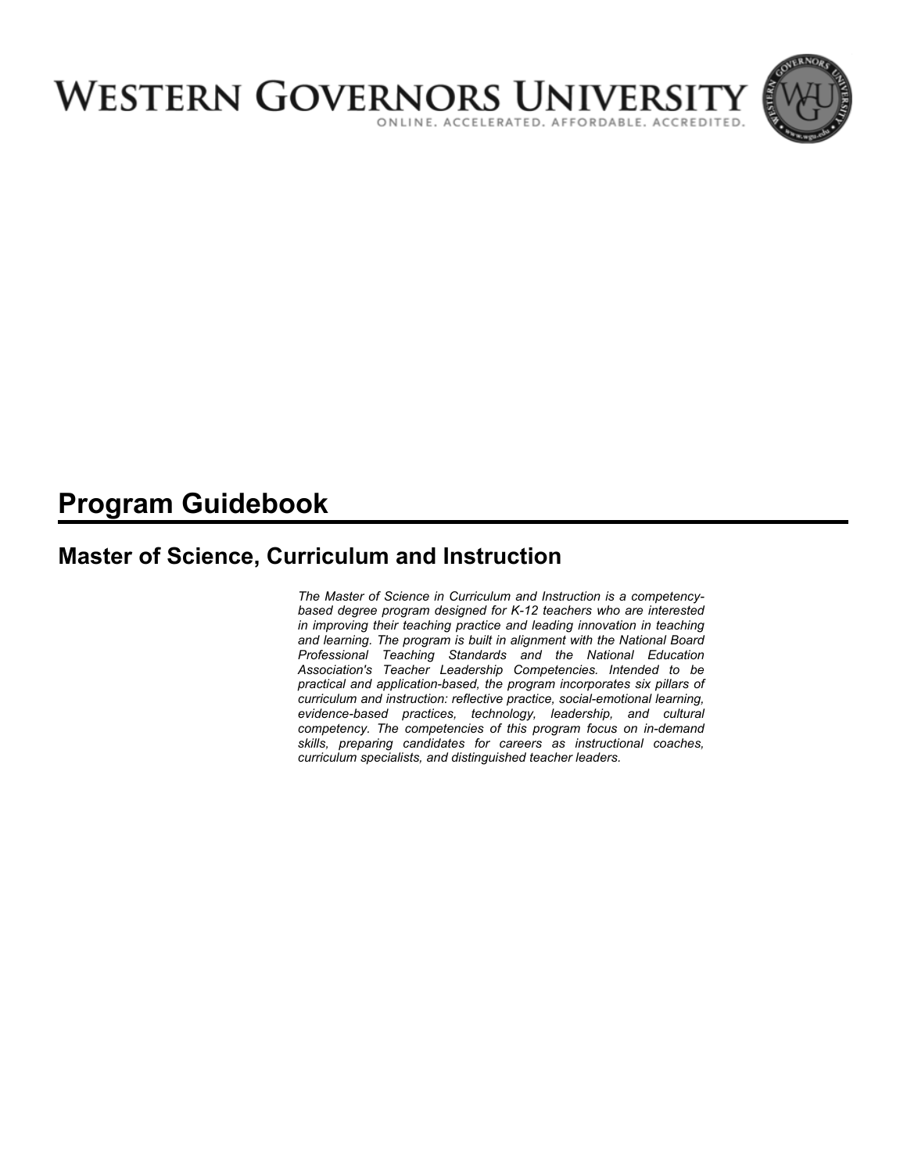

# **Program Guidebook**

# **Master of Science, Curriculum and Instruction**

*The Master of Science in Curriculum and Instruction is a competencybased degree program designed for K-12 teachers who are interested in improving their teaching practice and leading innovation in teaching and learning. The program is built in alignment with the National Board Professional Teaching Standards and the National Education Association's Teacher Leadership Competencies. Intended to be practical and application-based, the program incorporates six pillars of curriculum and instruction: reflective practice, social-emotional learning, evidence-based practices, technology, leadership, and cultural competency. The competencies of this program focus on in-demand skills, preparing candidates for careers as instructional coaches, curriculum specialists, and distinguished teacher leaders.*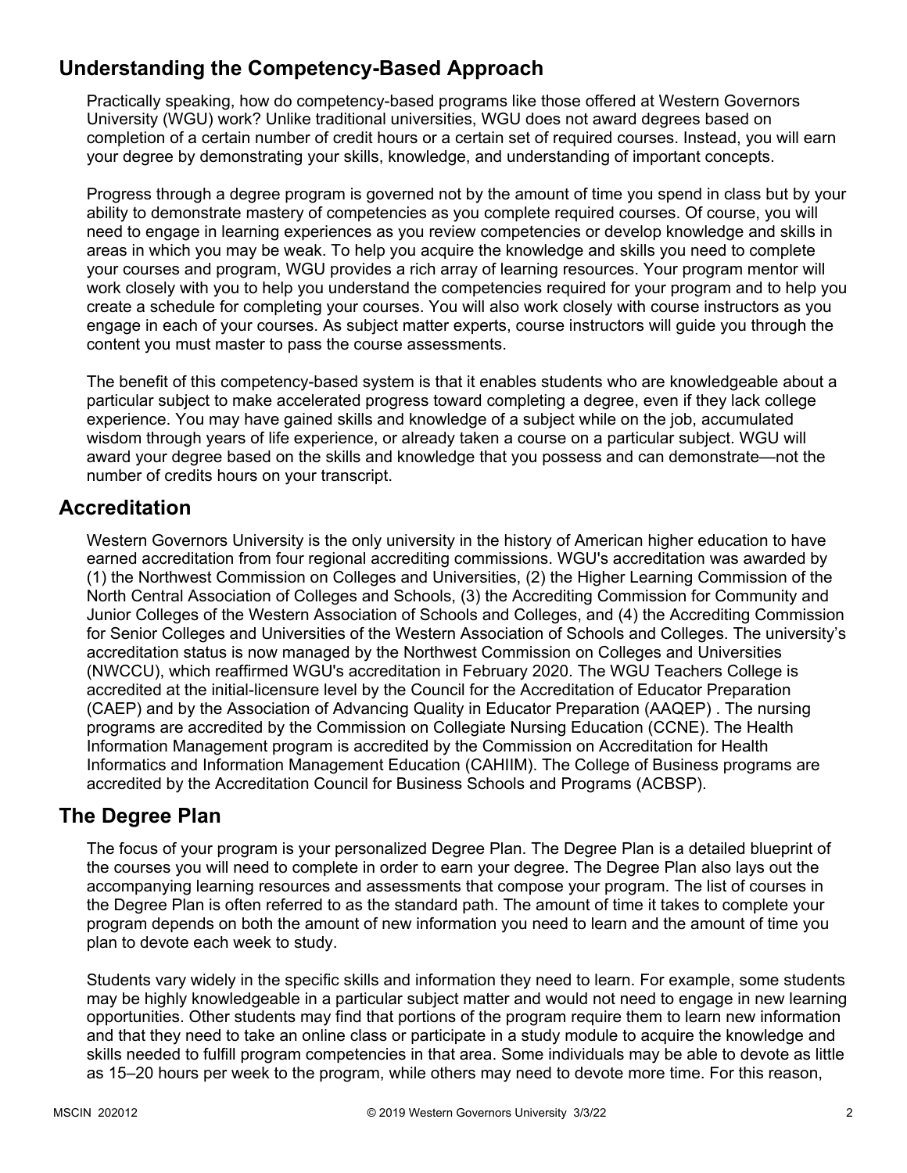# **Understanding the Competency-Based Approach**

Practically speaking, how do competency-based programs like those offered at Western Governors University (WGU) work? Unlike traditional universities, WGU does not award degrees based on completion of a certain number of credit hours or a certain set of required courses. Instead, you will earn your degree by demonstrating your skills, knowledge, and understanding of important concepts.

Progress through a degree program is governed not by the amount of time you spend in class but by your ability to demonstrate mastery of competencies as you complete required courses. Of course, you will need to engage in learning experiences as you review competencies or develop knowledge and skills in areas in which you may be weak. To help you acquire the knowledge and skills you need to complete your courses and program, WGU provides a rich array of learning resources. Your program mentor will work closely with you to help you understand the competencies required for your program and to help you create a schedule for completing your courses. You will also work closely with course instructors as you engage in each of your courses. As subject matter experts, course instructors will guide you through the content you must master to pass the course assessments.

The benefit of this competency-based system is that it enables students who are knowledgeable about a particular subject to make accelerated progress toward completing a degree, even if they lack college experience. You may have gained skills and knowledge of a subject while on the job, accumulated wisdom through years of life experience, or already taken a course on a particular subject. WGU will award your degree based on the skills and knowledge that you possess and can demonstrate—not the number of credits hours on your transcript.

### **Accreditation**

Western Governors University is the only university in the history of American higher education to have earned accreditation from four regional accrediting commissions. WGU's accreditation was awarded by (1) the Northwest Commission on Colleges and Universities, (2) the Higher Learning Commission of the North Central Association of Colleges and Schools, (3) the Accrediting Commission for Community and Junior Colleges of the Western Association of Schools and Colleges, and (4) the Accrediting Commission for Senior Colleges and Universities of the Western Association of Schools and Colleges. The university's accreditation status is now managed by the Northwest Commission on Colleges and Universities (NWCCU), which reaffirmed WGU's accreditation in February 2020. The WGU Teachers College is accredited at the initial-licensure level by the Council for the Accreditation of Educator Preparation (CAEP) and by the Association of Advancing Quality in Educator Preparation (AAQEP) . The nursing programs are accredited by the Commission on Collegiate Nursing Education (CCNE). The Health Information Management program is accredited by the Commission on Accreditation for Health Informatics and Information Management Education (CAHIIM). The College of Business programs are accredited by the Accreditation Council for Business Schools and Programs (ACBSP).

### **The Degree Plan**

The focus of your program is your personalized Degree Plan. The Degree Plan is a detailed blueprint of the courses you will need to complete in order to earn your degree. The Degree Plan also lays out the accompanying learning resources and assessments that compose your program. The list of courses in the Degree Plan is often referred to as the standard path. The amount of time it takes to complete your program depends on both the amount of new information you need to learn and the amount of time you plan to devote each week to study.

Students vary widely in the specific skills and information they need to learn. For example, some students may be highly knowledgeable in a particular subject matter and would not need to engage in new learning opportunities. Other students may find that portions of the program require them to learn new information and that they need to take an online class or participate in a study module to acquire the knowledge and skills needed to fulfill program competencies in that area. Some individuals may be able to devote as little as 15–20 hours per week to the program, while others may need to devote more time. For this reason,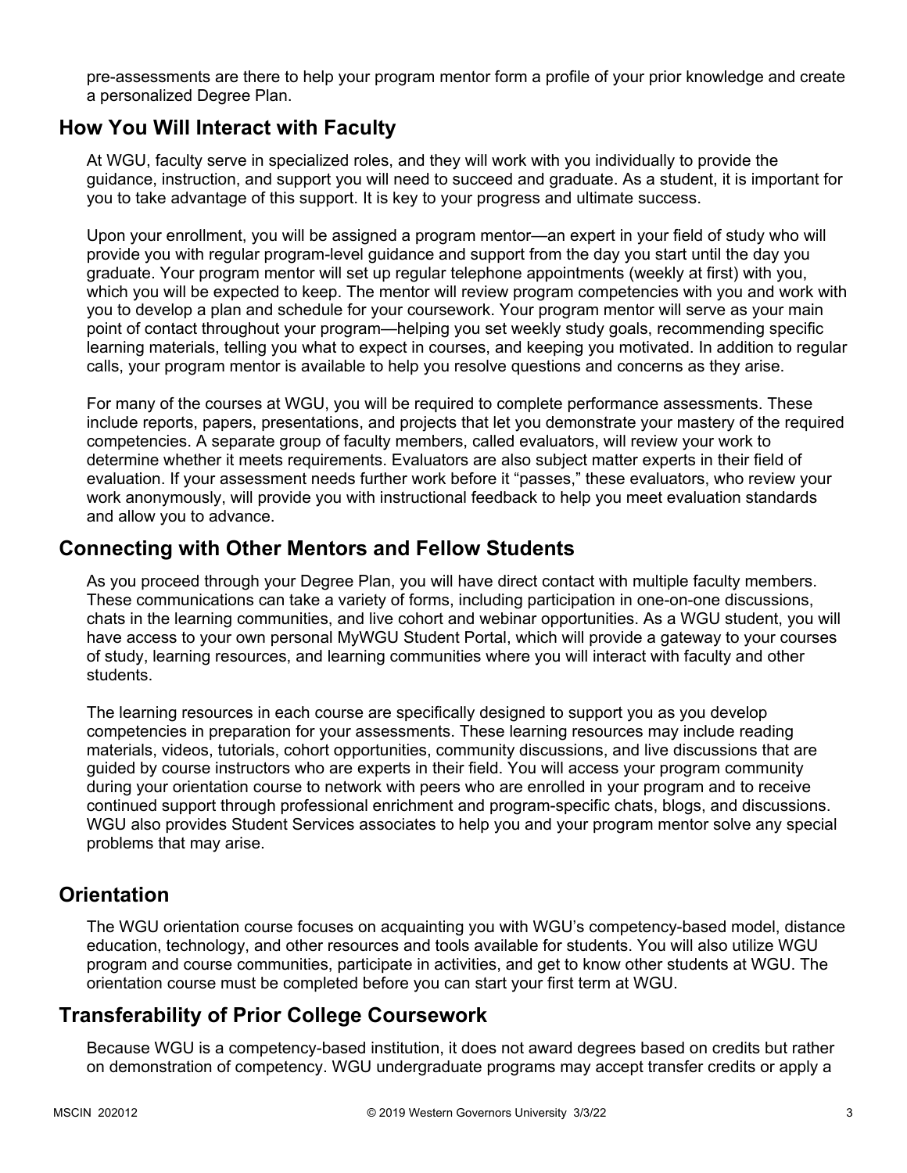pre-assessments are there to help your program mentor form a profile of your prior knowledge and create a personalized Degree Plan.

### **How You Will Interact with Faculty**

At WGU, faculty serve in specialized roles, and they will work with you individually to provide the guidance, instruction, and support you will need to succeed and graduate. As a student, it is important for you to take advantage of this support. It is key to your progress and ultimate success.

Upon your enrollment, you will be assigned a program mentor—an expert in your field of study who will provide you with regular program-level guidance and support from the day you start until the day you graduate. Your program mentor will set up regular telephone appointments (weekly at first) with you, which you will be expected to keep. The mentor will review program competencies with you and work with you to develop a plan and schedule for your coursework. Your program mentor will serve as your main point of contact throughout your program—helping you set weekly study goals, recommending specific learning materials, telling you what to expect in courses, and keeping you motivated. In addition to regular calls, your program mentor is available to help you resolve questions and concerns as they arise.

For many of the courses at WGU, you will be required to complete performance assessments. These include reports, papers, presentations, and projects that let you demonstrate your mastery of the required competencies. A separate group of faculty members, called evaluators, will review your work to determine whether it meets requirements. Evaluators are also subject matter experts in their field of evaluation. If your assessment needs further work before it "passes," these evaluators, who review your work anonymously, will provide you with instructional feedback to help you meet evaluation standards and allow you to advance.

### **Connecting with Other Mentors and Fellow Students**

As you proceed through your Degree Plan, you will have direct contact with multiple faculty members. These communications can take a variety of forms, including participation in one-on-one discussions, chats in the learning communities, and live cohort and webinar opportunities. As a WGU student, you will have access to your own personal MyWGU Student Portal, which will provide a gateway to your courses of study, learning resources, and learning communities where you will interact with faculty and other students.

The learning resources in each course are specifically designed to support you as you develop competencies in preparation for your assessments. These learning resources may include reading materials, videos, tutorials, cohort opportunities, community discussions, and live discussions that are guided by course instructors who are experts in their field. You will access your program community during your orientation course to network with peers who are enrolled in your program and to receive continued support through professional enrichment and program-specific chats, blogs, and discussions. WGU also provides Student Services associates to help you and your program mentor solve any special problems that may arise.

### **Orientation**

The WGU orientation course focuses on acquainting you with WGU's competency-based model, distance education, technology, and other resources and tools available for students. You will also utilize WGU program and course communities, participate in activities, and get to know other students at WGU. The orientation course must be completed before you can start your first term at WGU.

# **Transferability of Prior College Coursework**

Because WGU is a competency-based institution, it does not award degrees based on credits but rather on demonstration of competency. WGU undergraduate programs may accept transfer credits or apply a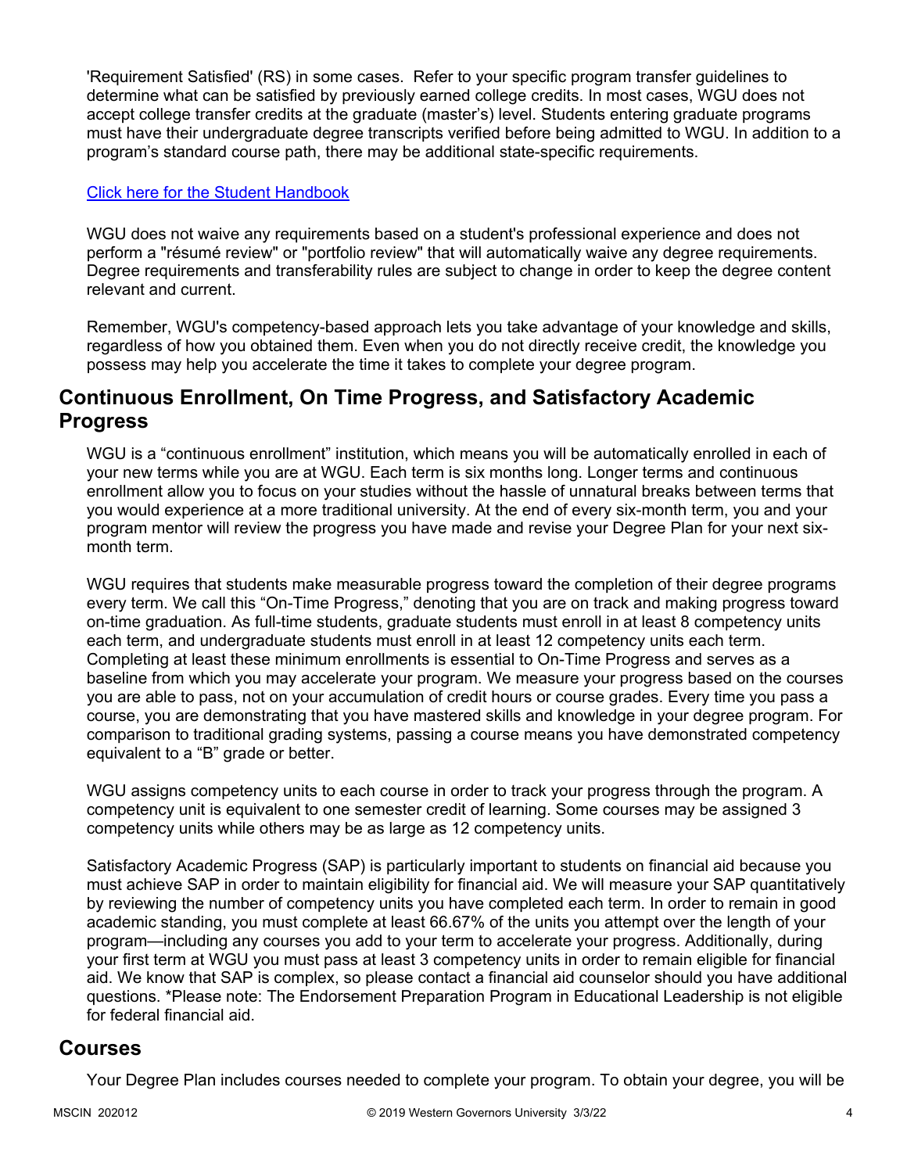'Requirement Satisfied' (RS) in some cases. Refer to your specific program transfer guidelines to determine what can be satisfied by previously earned college credits. In most cases, WGU does not accept college transfer credits at the graduate (master's) level. Students entering graduate programs must have their undergraduate degree transcripts verified before being admitted to WGU. In addition to a program's standard course path, there may be additional state-specific requirements.

#### [Click here for the Student Handbook](http://cm.wgu.edu/)

WGU does not waive any requirements based on a student's professional experience and does not perform a "résumé review" or "portfolio review" that will automatically waive any degree requirements. Degree requirements and transferability rules are subject to change in order to keep the degree content relevant and current.

Remember, WGU's competency-based approach lets you take advantage of your knowledge and skills, regardless of how you obtained them. Even when you do not directly receive credit, the knowledge you possess may help you accelerate the time it takes to complete your degree program.

#### **Continuous Enrollment, On Time Progress, and Satisfactory Academic Progress**

WGU is a "continuous enrollment" institution, which means you will be automatically enrolled in each of your new terms while you are at WGU. Each term is six months long. Longer terms and continuous enrollment allow you to focus on your studies without the hassle of unnatural breaks between terms that you would experience at a more traditional university. At the end of every six-month term, you and your program mentor will review the progress you have made and revise your Degree Plan for your next sixmonth term.

WGU requires that students make measurable progress toward the completion of their degree programs every term. We call this "On-Time Progress," denoting that you are on track and making progress toward on-time graduation. As full-time students, graduate students must enroll in at least 8 competency units each term, and undergraduate students must enroll in at least 12 competency units each term. Completing at least these minimum enrollments is essential to On-Time Progress and serves as a baseline from which you may accelerate your program. We measure your progress based on the courses you are able to pass, not on your accumulation of credit hours or course grades. Every time you pass a course, you are demonstrating that you have mastered skills and knowledge in your degree program. For comparison to traditional grading systems, passing a course means you have demonstrated competency equivalent to a "B" grade or better.

WGU assigns competency units to each course in order to track your progress through the program. A competency unit is equivalent to one semester credit of learning. Some courses may be assigned 3 competency units while others may be as large as 12 competency units.

Satisfactory Academic Progress (SAP) is particularly important to students on financial aid because you must achieve SAP in order to maintain eligibility for financial aid. We will measure your SAP quantitatively by reviewing the number of competency units you have completed each term. In order to remain in good academic standing, you must complete at least 66.67% of the units you attempt over the length of your program—including any courses you add to your term to accelerate your progress. Additionally, during your first term at WGU you must pass at least 3 competency units in order to remain eligible for financial aid. We know that SAP is complex, so please contact a financial aid counselor should you have additional questions. \*Please note: The Endorsement Preparation Program in Educational Leadership is not eligible for federal financial aid.

#### **Courses**

Your Degree Plan includes courses needed to complete your program. To obtain your degree, you will be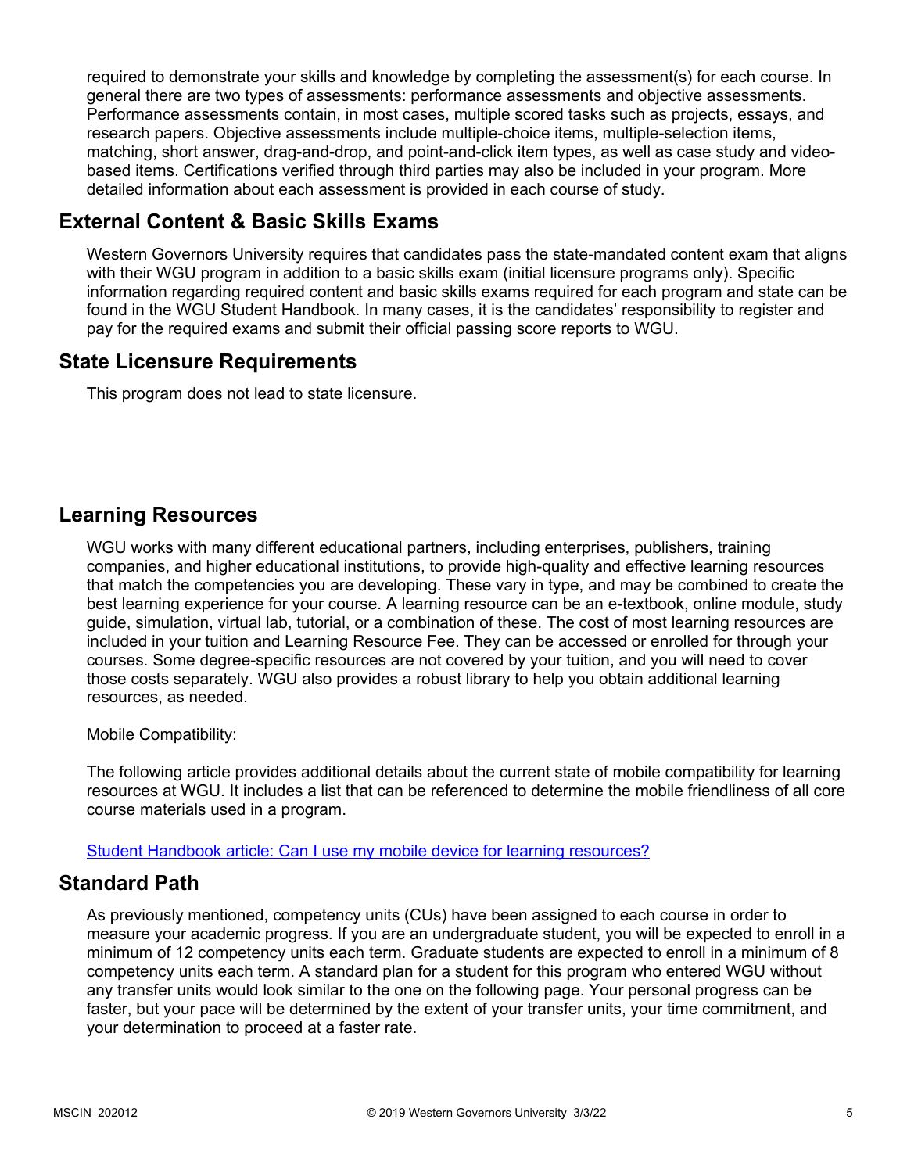required to demonstrate your skills and knowledge by completing the assessment(s) for each course. In general there are two types of assessments: performance assessments and objective assessments. Performance assessments contain, in most cases, multiple scored tasks such as projects, essays, and research papers. Objective assessments include multiple-choice items, multiple-selection items, matching, short answer, drag-and-drop, and point-and-click item types, as well as case study and videobased items. Certifications verified through third parties may also be included in your program. More detailed information about each assessment is provided in each course of study.

# **External Content & Basic Skills Exams**

Western Governors University requires that candidates pass the state-mandated content exam that aligns with their WGU program in addition to a basic skills exam (initial licensure programs only). Specific information regarding required content and basic skills exams required for each program and state can be found in the WGU Student Handbook. In many cases, it is the candidates' responsibility to register and pay for the required exams and submit their official passing score reports to WGU.

### **State Licensure Requirements**

This program does not lead to state licensure.

### **Learning Resources**

WGU works with many different educational partners, including enterprises, publishers, training companies, and higher educational institutions, to provide high-quality and effective learning resources that match the competencies you are developing. These vary in type, and may be combined to create the best learning experience for your course. A learning resource can be an e-textbook, online module, study guide, simulation, virtual lab, tutorial, or a combination of these. The cost of most learning resources are included in your tuition and Learning Resource Fee. They can be accessed or enrolled for through your courses. Some degree-specific resources are not covered by your tuition, and you will need to cover those costs separately. WGU also provides a robust library to help you obtain additional learning resources, as needed.

Mobile Compatibility:

The following article provides additional details about the current state of mobile compatibility for learning resources at WGU. It includes a list that can be referenced to determine the mobile friendliness of all core course materials used in a program.

[Student Handbook article: Can I use my mobile device for learning resources?](https://cm.wgu.edu/t5/Frequently-Asked-Questions/Can-I-use-my-mobile-device-for-learning-resources/ta-p/396)

### **Standard Path**

As previously mentioned, competency units (CUs) have been assigned to each course in order to measure your academic progress. If you are an undergraduate student, you will be expected to enroll in a minimum of 12 competency units each term. Graduate students are expected to enroll in a minimum of 8 competency units each term. A standard plan for a student for this program who entered WGU without any transfer units would look similar to the one on the following page. Your personal progress can be faster, but your pace will be determined by the extent of your transfer units, your time commitment, and your determination to proceed at a faster rate.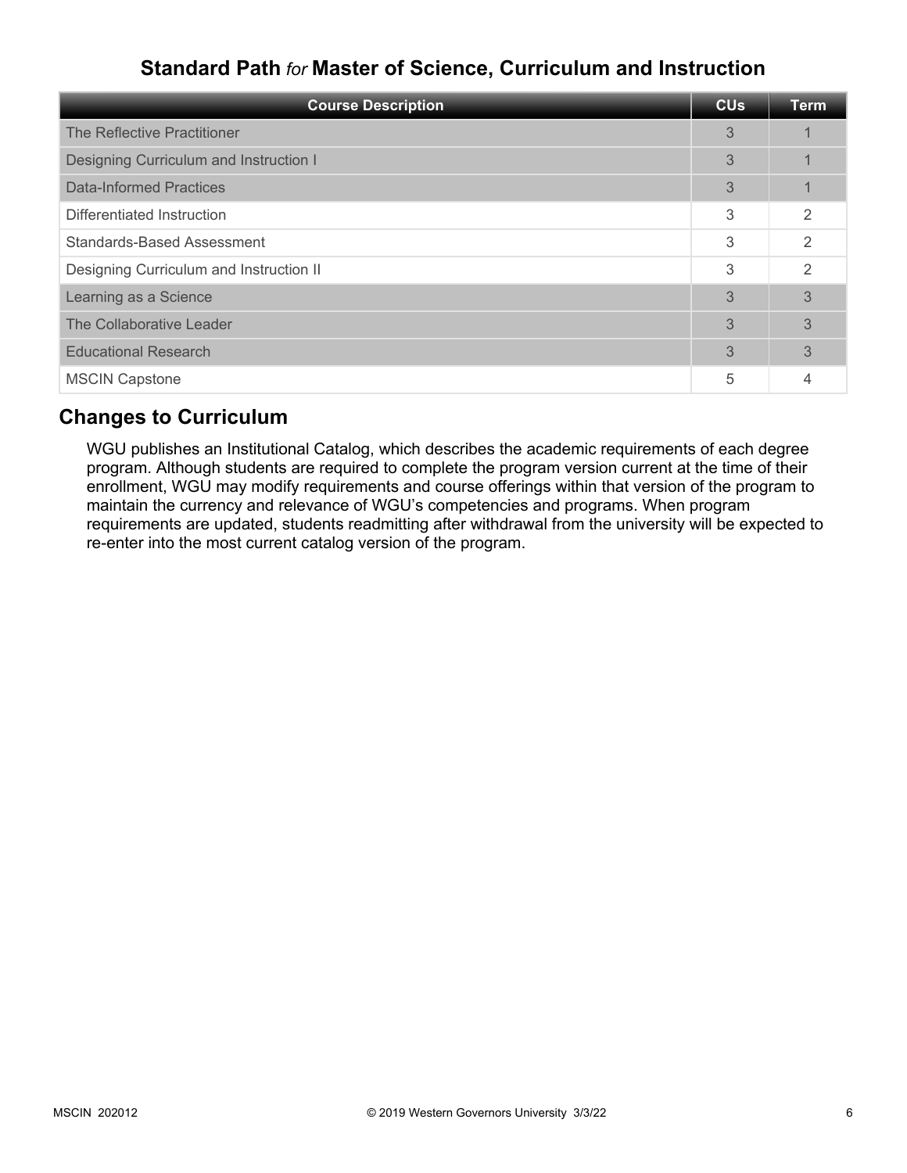# **Standard Path** *for* **Master of Science, Curriculum and Instruction**

| <b>Course Description</b>               | <b>CU<sub>s</sub></b> | <b>Term</b>    |
|-----------------------------------------|-----------------------|----------------|
| The Reflective Practitioner             | 3                     |                |
| Designing Curriculum and Instruction I  | 3                     |                |
| Data-Informed Practices                 | 3                     |                |
| Differentiated Instruction              | 3                     | $\mathfrak{D}$ |
| <b>Standards-Based Assessment</b>       | 3                     | $\mathcal{P}$  |
| Designing Curriculum and Instruction II | 3                     | $\mathfrak{D}$ |
| Learning as a Science                   | 3                     | 3              |
| The Collaborative Leader                | 3                     | 3              |
| <b>Educational Research</b>             | 3                     | 3              |
| <b>MSCIN Capstone</b>                   | 5                     |                |

# **Changes to Curriculum**

WGU publishes an Institutional Catalog, which describes the academic requirements of each degree program. Although students are required to complete the program version current at the time of their enrollment, WGU may modify requirements and course offerings within that version of the program to maintain the currency and relevance of WGU's competencies and programs. When program requirements are updated, students readmitting after withdrawal from the university will be expected to re-enter into the most current catalog version of the program.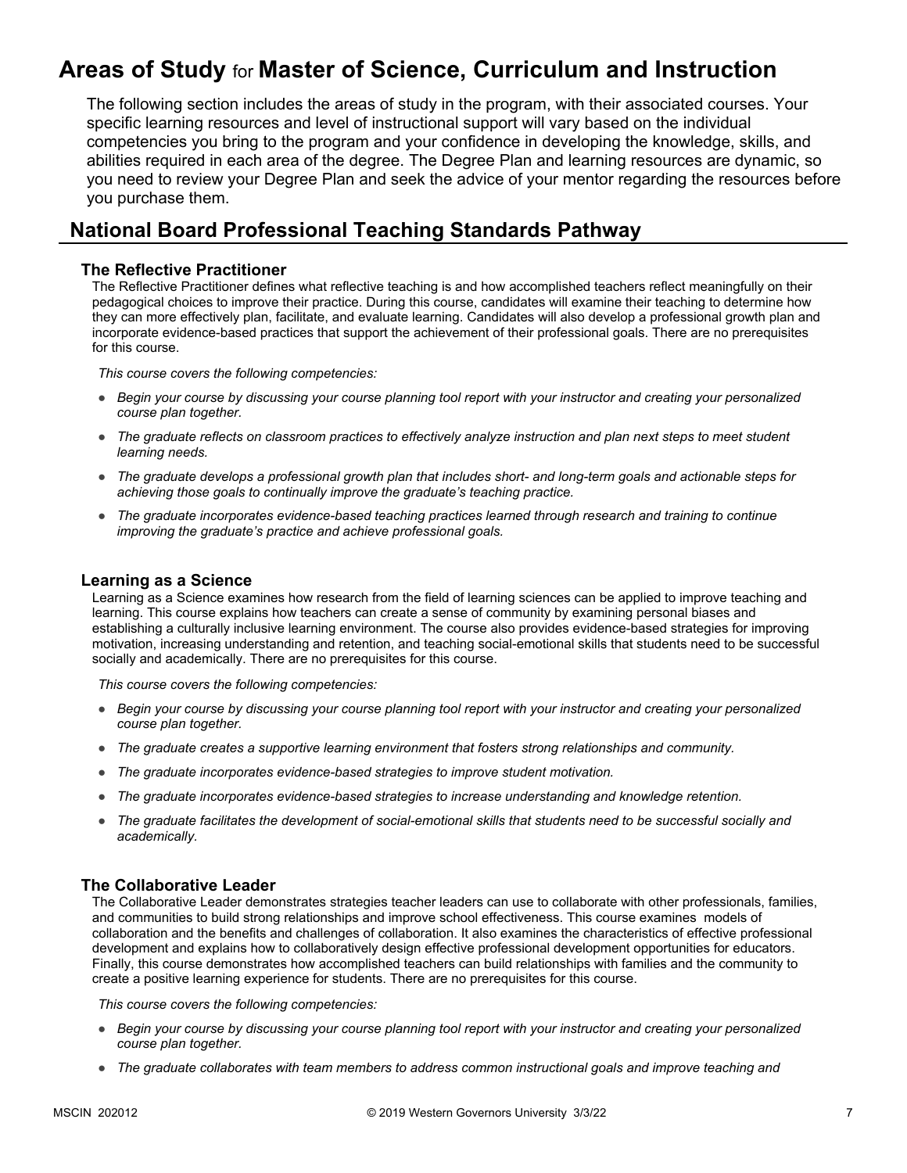# **Areas of Study** for **Master of Science, Curriculum and Instruction**

The following section includes the areas of study in the program, with their associated courses. Your specific learning resources and level of instructional support will vary based on the individual competencies you bring to the program and your confidence in developing the knowledge, skills, and abilities required in each area of the degree. The Degree Plan and learning resources are dynamic, so you need to review your Degree Plan and seek the advice of your mentor regarding the resources before you purchase them.

### **National Board Professional Teaching Standards Pathway**

#### **The Reflective Practitioner**

The Reflective Practitioner defines what reflective teaching is and how accomplished teachers reflect meaningfully on their pedagogical choices to improve their practice. During this course, candidates will examine their teaching to determine how they can more effectively plan, facilitate, and evaluate learning. Candidates will also develop a professional growth plan and incorporate evidence-based practices that support the achievement of their professional goals. There are no prerequisites for this course.

*This course covers the following competencies:*

- *Begin your course by discussing your course planning tool report with your instructor and creating your personalized course plan together.*
- *The graduate reflects on classroom practices to effectively analyze instruction and plan next steps to meet student learning needs.*
- *The graduate develops a professional growth plan that includes short- and long-term goals and actionable steps for achieving those goals to continually improve the graduate's teaching practice.*
- *The graduate incorporates evidence-based teaching practices learned through research and training to continue improving the graduate's practice and achieve professional goals.*

#### **Learning as a Science**

Learning as a Science examines how research from the field of learning sciences can be applied to improve teaching and learning. This course explains how teachers can create a sense of community by examining personal biases and establishing a culturally inclusive learning environment. The course also provides evidence-based strategies for improving motivation, increasing understanding and retention, and teaching social-emotional skills that students need to be successful socially and academically. There are no prerequisites for this course.

*This course covers the following competencies:*

- *Begin your course by discussing your course planning tool report with your instructor and creating your personalized course plan together.*
- *The graduate creates a supportive learning environment that fosters strong relationships and community.*
- *The graduate incorporates evidence-based strategies to improve student motivation.*
- *The graduate incorporates evidence-based strategies to increase understanding and knowledge retention.*
- *The graduate facilitates the development of social-emotional skills that students need to be successful socially and academically.*

#### **The Collaborative Leader**

The Collaborative Leader demonstrates strategies teacher leaders can use to collaborate with other professionals, families, and communities to build strong relationships and improve school effectiveness. This course examines models of collaboration and the benefits and challenges of collaboration. It also examines the characteristics of effective professional development and explains how to collaboratively design effective professional development opportunities for educators. Finally, this course demonstrates how accomplished teachers can build relationships with families and the community to create a positive learning experience for students. There are no prerequisites for this course.

*This course covers the following competencies:*

- *Begin your course by discussing your course planning tool report with your instructor and creating your personalized course plan together.*
- *The graduate collaborates with team members to address common instructional goals and improve teaching and*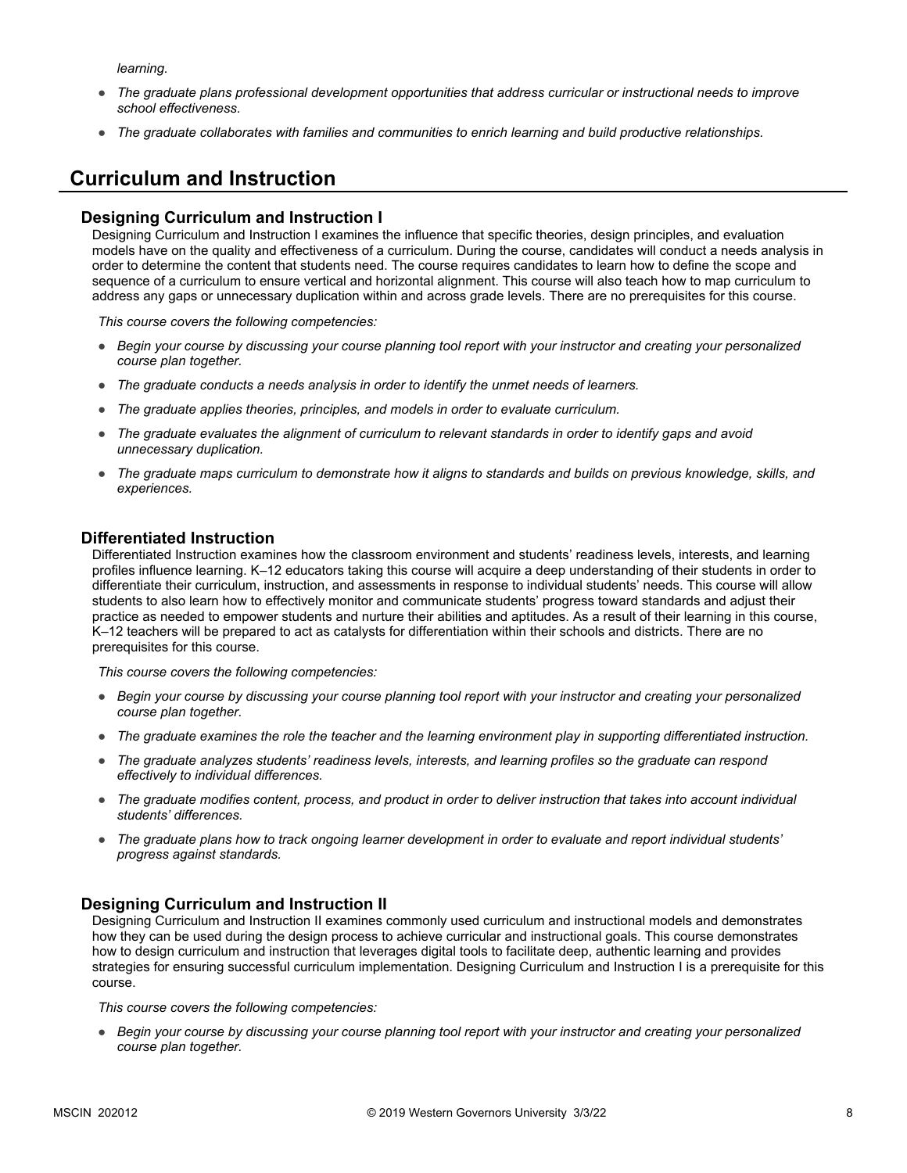*learning.*

- *The graduate plans professional development opportunities that address curricular or instructional needs to improve school effectiveness.*
- *The graduate collaborates with families and communities to enrich learning and build productive relationships.*

### **Curriculum and Instruction**

#### **Designing Curriculum and Instruction I**

Designing Curriculum and Instruction I examines the influence that specific theories, design principles, and evaluation models have on the quality and effectiveness of a curriculum. During the course, candidates will conduct a needs analysis in order to determine the content that students need. The course requires candidates to learn how to define the scope and sequence of a curriculum to ensure vertical and horizontal alignment. This course will also teach how to map curriculum to address any gaps or unnecessary duplication within and across grade levels. There are no prerequisites for this course.

*This course covers the following competencies:*

- *Begin your course by discussing your course planning tool report with your instructor and creating your personalized course plan together.*
- *The graduate conducts a needs analysis in order to identify the unmet needs of learners.*
- *The graduate applies theories, principles, and models in order to evaluate curriculum.*
- *The graduate evaluates the alignment of curriculum to relevant standards in order to identify gaps and avoid unnecessary duplication.*
- *The graduate maps curriculum to demonstrate how it aligns to standards and builds on previous knowledge, skills, and experiences.*

#### **Differentiated Instruction**

Differentiated Instruction examines how the classroom environment and students' readiness levels, interests, and learning profiles influence learning. K–12 educators taking this course will acquire a deep understanding of their students in order to differentiate their curriculum, instruction, and assessments in response to individual students' needs. This course will allow students to also learn how to effectively monitor and communicate students' progress toward standards and adjust their practice as needed to empower students and nurture their abilities and aptitudes. As a result of their learning in this course, K–12 teachers will be prepared to act as catalysts for differentiation within their schools and districts. There are no prerequisites for this course.

*This course covers the following competencies:*

- *Begin your course by discussing your course planning tool report with your instructor and creating your personalized course plan together.*
- *The graduate examines the role the teacher and the learning environment play in supporting differentiated instruction.*
- *The graduate analyzes students' readiness levels, interests, and learning profiles so the graduate can respond effectively to individual differences.*
- *The graduate modifies content, process, and product in order to deliver instruction that takes into account individual students' differences.*
- *The graduate plans how to track ongoing learner development in order to evaluate and report individual students' progress against standards.*

#### **Designing Curriculum and Instruction II**

Designing Curriculum and Instruction II examines commonly used curriculum and instructional models and demonstrates how they can be used during the design process to achieve curricular and instructional goals. This course demonstrates how to design curriculum and instruction that leverages digital tools to facilitate deep, authentic learning and provides strategies for ensuring successful curriculum implementation. Designing Curriculum and Instruction I is a prerequisite for this course.

*This course covers the following competencies:*

● *Begin your course by discussing your course planning tool report with your instructor and creating your personalized course plan together.*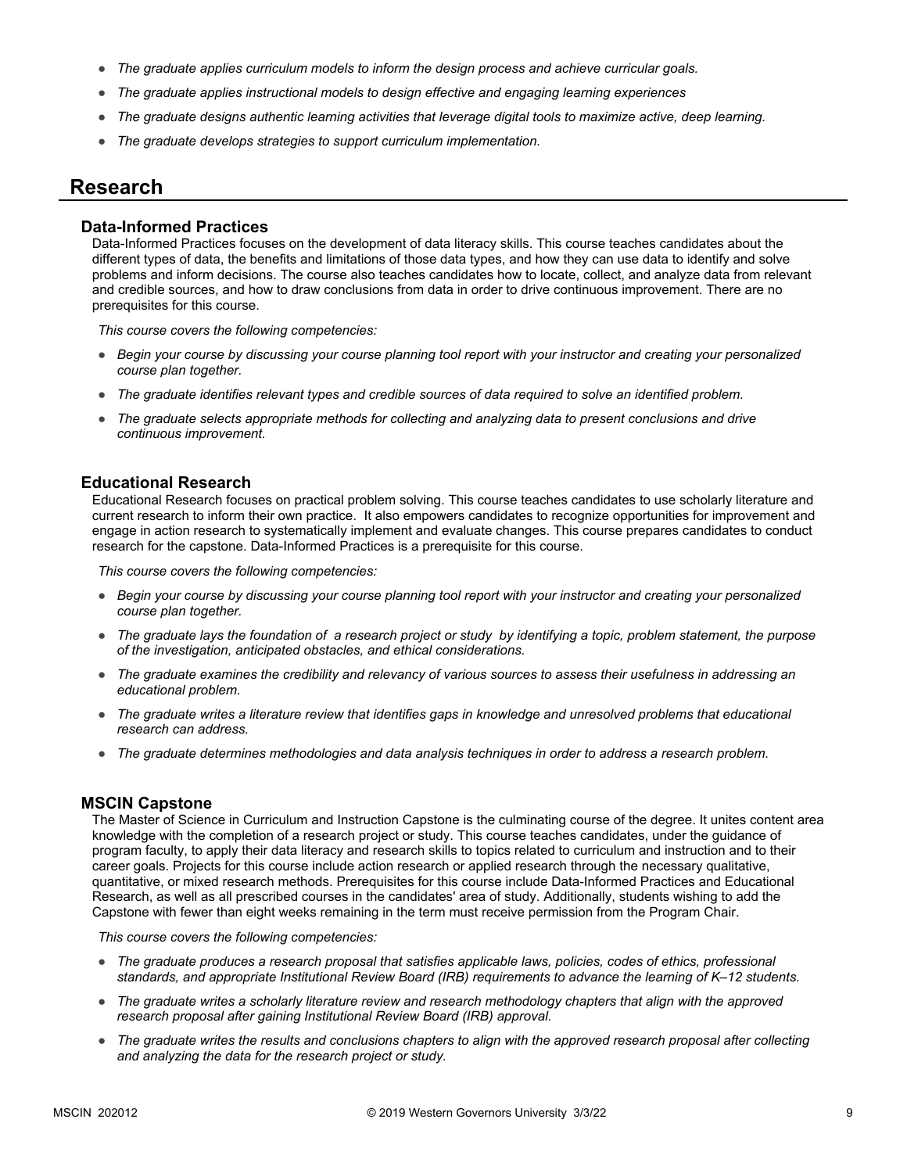- *The graduate applies curriculum models to inform the design process and achieve curricular goals.*
- *The graduate applies instructional models to design effective and engaging learning experiences*
- *The graduate designs authentic learning activities that leverage digital tools to maximize active, deep learning.*
- *The graduate develops strategies to support curriculum implementation.*

#### **Research**

#### **Data-Informed Practices**

Data-Informed Practices focuses on the development of data literacy skills. This course teaches candidates about the different types of data, the benefits and limitations of those data types, and how they can use data to identify and solve problems and inform decisions. The course also teaches candidates how to locate, collect, and analyze data from relevant and credible sources, and how to draw conclusions from data in order to drive continuous improvement. There are no prerequisites for this course.

*This course covers the following competencies:*

- *Begin your course by discussing your course planning tool report with your instructor and creating your personalized course plan together.*
- *The graduate identifies relevant types and credible sources of data required to solve an identified problem.*
- *The graduate selects appropriate methods for collecting and analyzing data to present conclusions and drive continuous improvement.*

#### **Educational Research**

Educational Research focuses on practical problem solving. This course teaches candidates to use scholarly literature and current research to inform their own practice. It also empowers candidates to recognize opportunities for improvement and engage in action research to systematically implement and evaluate changes. This course prepares candidates to conduct research for the capstone. Data-Informed Practices is a prerequisite for this course.

*This course covers the following competencies:*

- *Begin your course by discussing your course planning tool report with your instructor and creating your personalized course plan together.*
- *The graduate lays the foundation of a research project or study by identifying a topic, problem statement, the purpose of the investigation, anticipated obstacles, and ethical considerations.*
- *The graduate examines the credibility and relevancy of various sources to assess their usefulness in addressing an educational problem.*
- The graduate writes a literature review that identifies gaps in knowledge and unresolved problems that educational *research can address.*
- *The graduate determines methodologies and data analysis techniques in order to address a research problem.*

#### **MSCIN Capstone**

The Master of Science in Curriculum and Instruction Capstone is the culminating course of the degree. It unites content area knowledge with the completion of a research project or study. This course teaches candidates, under the guidance of program faculty, to apply their data literacy and research skills to topics related to curriculum and instruction and to their career goals. Projects for this course include action research or applied research through the necessary qualitative, quantitative, or mixed research methods. Prerequisites for this course include Data-Informed Practices and Educational Research, as well as all prescribed courses in the candidates' area of study. Additionally, students wishing to add the Capstone with fewer than eight weeks remaining in the term must receive permission from the Program Chair.

*This course covers the following competencies:*

- *The graduate produces a research proposal that satisfies applicable laws, policies, codes of ethics, professional standards, and appropriate Institutional Review Board (IRB) requirements to advance the learning of K–12 students.*
- *The graduate writes a scholarly literature review and research methodology chapters that align with the approved research proposal after gaining Institutional Review Board (IRB) approval.*
- *The graduate writes the results and conclusions chapters to align with the approved research proposal after collecting and analyzing the data for the research project or study.*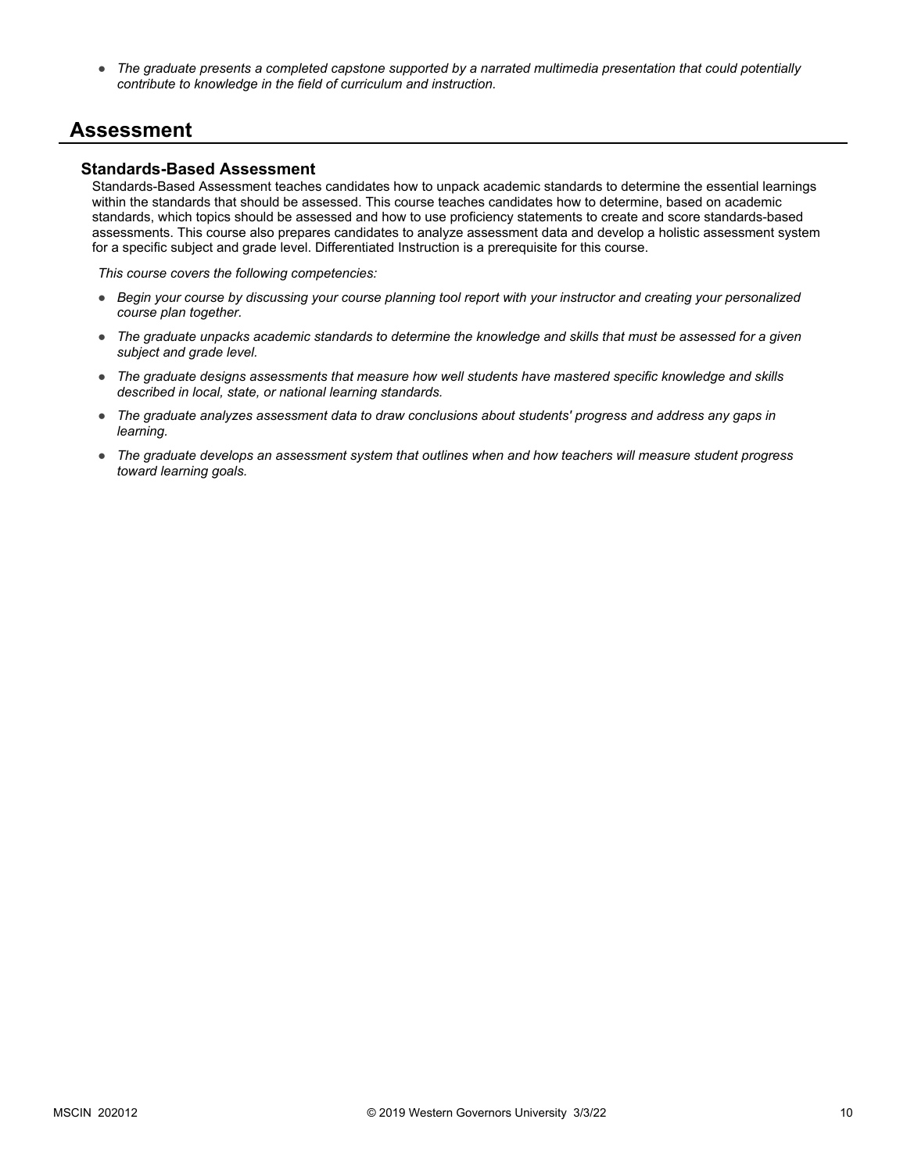● *The graduate presents a completed capstone supported by a narrated multimedia presentation that could potentially contribute to knowledge in the field of curriculum and instruction.*

#### **Assessment**

#### **Standards-Based Assessment**

Standards-Based Assessment teaches candidates how to unpack academic standards to determine the essential learnings within the standards that should be assessed. This course teaches candidates how to determine, based on academic standards, which topics should be assessed and how to use proficiency statements to create and score standards-based assessments. This course also prepares candidates to analyze assessment data and develop a holistic assessment system for a specific subject and grade level. Differentiated Instruction is a prerequisite for this course.

*This course covers the following competencies:*

- *Begin your course by discussing your course planning tool report with your instructor and creating your personalized course plan together.*
- *The graduate unpacks academic standards to determine the knowledge and skills that must be assessed for a given subject and grade level.*
- *The graduate designs assessments that measure how well students have mastered specific knowledge and skills described in local, state, or national learning standards.*
- *The graduate analyzes assessment data to draw conclusions about students' progress and address any gaps in learning.*
- *The graduate develops an assessment system that outlines when and how teachers will measure student progress toward learning goals.*